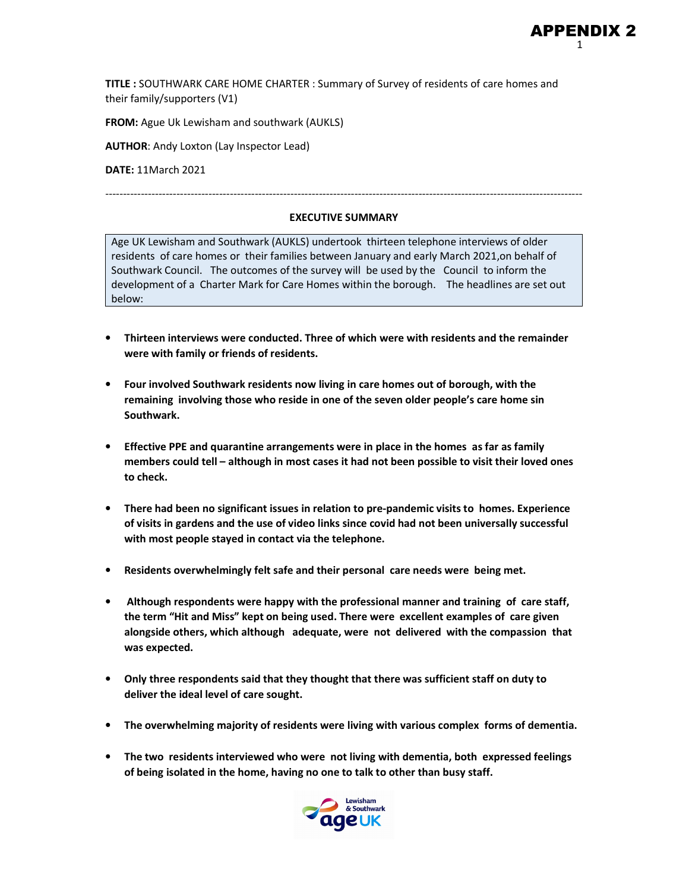**TITLE :** SOUTHWARK CARE HOME CHARTER : Summary of Survey of residents of care homes and their family/supporters (V1)

**FROM:** Ague Uk Lewisham and southwark (AUKLS)

**AUTHOR**: Andy Loxton (Lay Inspector Lead)

**DATE:** 11March 2021

#### **EXECUTIVE SUMMARY**

--------------------------------------------------------------------------------------------------------------------------------------

Age UK Lewisham and Southwark (AUKLS) undertook thirteen telephone interviews of older residents of care homes or their families between January and early March 2021,on behalf of Southwark Council. The outcomes of the survey will be used by the Council to inform the development of a Charter Mark for Care Homes within the borough. The headlines are set out below:

- **Thirteen interviews were conducted. Three of which were with residents and the remainder were with family or friends of residents.**
- **Four involved Southwark residents now living in care homes out of borough, with the remaining involving those who reside in one of the seven older people's care home sin Southwark.**
- **Effective PPE and quarantine arrangements were in place in the homes as far as family members could tell – although in most cases it had not been possible to visit their loved ones to check.**
- **There had been no significant issues in relation to pre-pandemic visits to homes. Experience of visits in gardens and the use of video links since covid had not been universally successful with most people stayed in contact via the telephone.**
- **Residents overwhelmingly felt safe and their personal care needs were being met.**
- **Although respondents were happy with the professional manner and training of care staff, the term "Hit and Miss" kept on being used. There were excellent examples of care given alongside others, which although adequate, were not delivered with the compassion that was expected.**
- **Only three respondents said that they thought that there was sufficient staff on duty to deliver the ideal level of care sought.**
- **The overwhelming majority of residents were living with various complex forms of dementia.**
- **The two residents interviewed who were not living with dementia, both expressed feelings of being isolated in the home, having no one to talk to other than busy staff.**

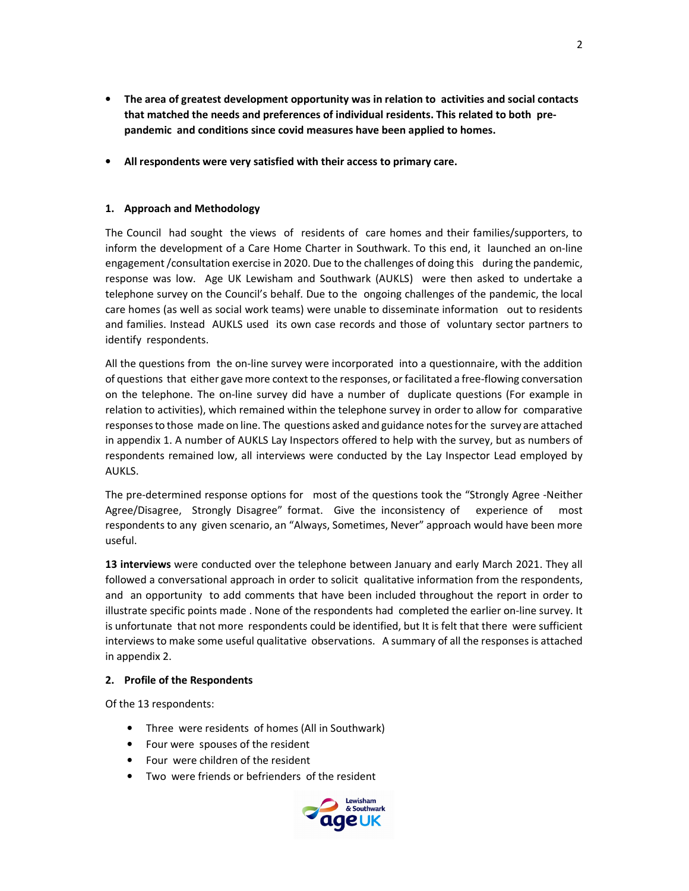- **The area of greatest development opportunity was in relation to activities and social contacts that matched the needs and preferences of individual residents. This related to both prepandemic and conditions since covid measures have been applied to homes.**
- **All respondents were very satisfied with their access to primary care.**

### **1. Approach and Methodology**

The Council had sought the views of residents of care homes and their families/supporters, to inform the development of a Care Home Charter in Southwark. To this end, it launched an on-line engagement /consultation exercise in 2020. Due to the challenges of doing this during the pandemic, response was low. Age UK Lewisham and Southwark (AUKLS) were then asked to undertake a telephone survey on the Council's behalf. Due to the ongoing challenges of the pandemic, the local care homes (as well as social work teams) were unable to disseminate information out to residents and families. Instead AUKLS used its own case records and those of voluntary sector partners to identify respondents.

All the questions from the on-line survey were incorporated into a questionnaire, with the addition of questions that either gave more context to the responses, or facilitated a free-flowing conversation on the telephone. The on-line survey did have a number of duplicate questions (For example in relation to activities), which remained within the telephone survey in order to allow for comparative responses to those made on line. The questions asked and guidance notes for the survey are attached in appendix 1. A number of AUKLS Lay Inspectors offered to help with the survey, but as numbers of respondents remained low, all interviews were conducted by the Lay Inspector Lead employed by AUKLS.

The pre-determined response options for most of the questions took the "Strongly Agree -Neither Agree/Disagree, Strongly Disagree" format. Give the inconsistency of experience of most respondents to any given scenario, an "Always, Sometimes, Never" approach would have been more useful.

**13 interviews** were conducted over the telephone between January and early March 2021. They all followed a conversational approach in order to solicit qualitative information from the respondents, and an opportunity to add comments that have been included throughout the report in order to illustrate specific points made . None of the respondents had completed the earlier on-line survey. It is unfortunate that not more respondents could be identified, but It is felt that there were sufficient interviews to make some useful qualitative observations. A summary of all the responses is attached in appendix 2.

#### **2. Profile of the Respondents**

Of the 13 respondents:

- Three were residents of homes (All in Southwark)
- Four were spouses of the resident
- Four were children of the resident
- Two were friends or befrienders of the resident

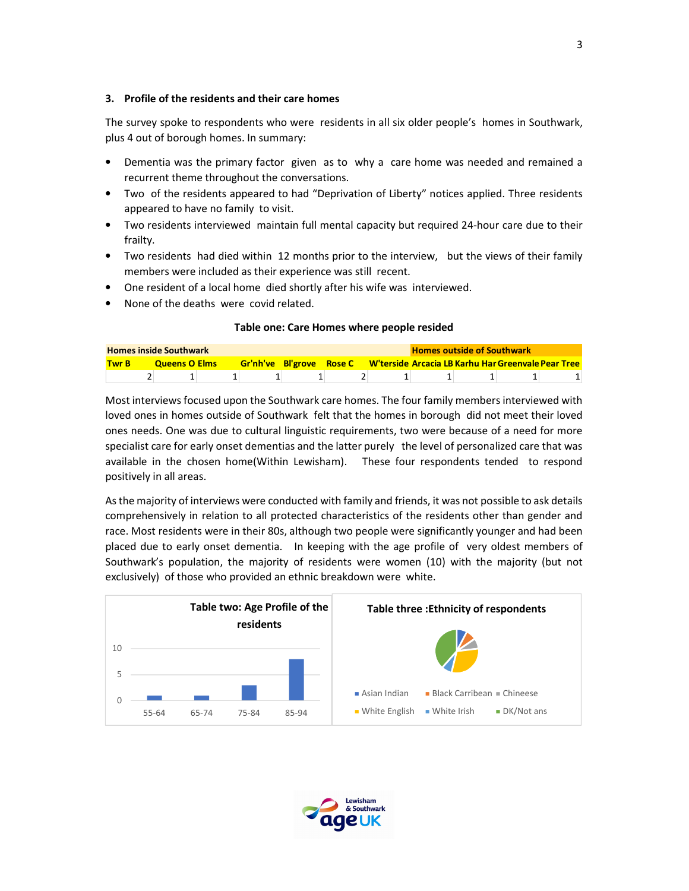#### **3. Profile of the residents and their care homes**

The survey spoke to respondents who were residents in all six older people's homes in Southwark, plus 4 out of borough homes. In summary:

- Dementia was the primary factor given as to why a care home was needed and remained a recurrent theme throughout the conversations.
- Two of the residents appeared to had "Deprivation of Liberty" notices applied. Three residents appeared to have no family to visit.
- Two residents interviewed maintain full mental capacity but required 24-hour care due to their frailty.
- Two residents had died within 12 months prior to the interview, but the views of their family members were included as their experience was still recent.
- One resident of a local home died shortly after his wife was interviewed.
- None of the deaths were covid related.

#### **Table one: Care Homes where people resided**

| <b>Homes inside Southwark</b><br><b>Gr'nh've Bl'grove Rose C W'terside Arcacia LB Karhu Har Greenvale Pear Tree</b> |  |                      |  |  |  |  |  | <b>Homes outside of Southwark</b> |  |
|---------------------------------------------------------------------------------------------------------------------|--|----------------------|--|--|--|--|--|-----------------------------------|--|
| <b>Twr B</b>                                                                                                        |  | <b>Queens O Elms</b> |  |  |  |  |  |                                   |  |
|                                                                                                                     |  |                      |  |  |  |  |  |                                   |  |

Most interviews focused upon the Southwark care homes. The four family members interviewed with loved ones in homes outside of Southwark felt that the homes in borough did not meet their loved ones needs. One was due to cultural linguistic requirements, two were because of a need for more specialist care for early onset dementias and the latter purely the level of personalized care that was available in the chosen home(Within Lewisham). These four respondents tended to respond positively in all areas.

As the majority of interviews were conducted with family and friends, it was not possible to ask details comprehensively in relation to all protected characteristics of the residents other than gender and race. Most residents were in their 80s, although two people were significantly younger and had been placed due to early onset dementia. In keeping with the age profile of very oldest members of Southwark's population, the majority of residents were women (10) with the majority (but not exclusively) of those who provided an ethnic breakdown were white.



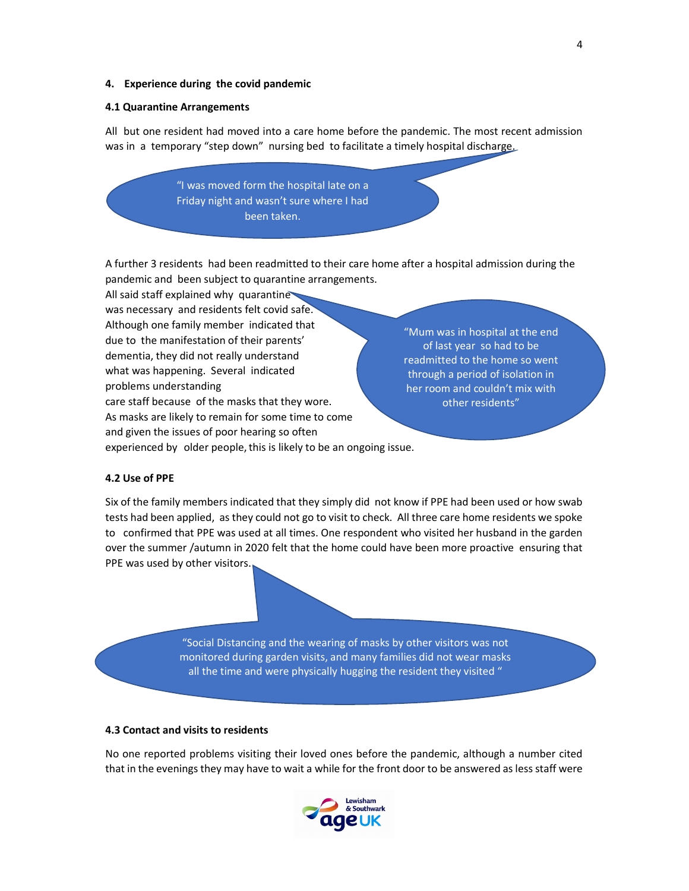#### **4. Experience during the covid pandemic**

#### **4.1 Quarantine Arrangements**

All but one resident had moved into a care home before the pandemic. The most recent admission was in a temporary "step down" nursing bed to facilitate a timely hospital discharge.

> "I was moved form the hospital late on a Friday night and wasn't sure where I had been taken.

A further 3 residents had been readmitted to their care home after a hospital admission during the pandemic and been subject to quarantine arrangements.

All said staff explained why quarantine was necessary and residents felt covid safe. Although one family member indicated that due to the manifestation of their parents' dementia, they did not really understand what was happening. Several indicated problems understanding care staff because of the masks that they wore. As masks are likely to remain for some time to come and given the issues of poor hearing so often experienced by older people, this is likely to be an ongoing issue.

"Mum was in hospital at the end of last year so had to be readmitted to the home so went through a period of isolation in her room and couldn't mix with other residents"

#### **4.2 Use of PPE**

Six of the family members indicated that they simply did not know if PPE had been used or how swab tests had been applied, as they could not go to visit to check. All three care home residents we spoke to confirmed that PPE was used at all times. One respondent who visited her husband in the garden over the summer /autumn in 2020 felt that the home could have been more proactive ensuring that PPE was used by other visitors.

> "Social Distancing and the wearing of masks by other visitors was not monitored during garden visits, and many families did not wear masks all the time and were physically hugging the resident they visited "

#### **4.3 Contact and visits to residents**

No one reported problems visiting their loved ones before the pandemic, although a number cited that in the evenings they may have to wait a while for the front door to be answered as less staff were

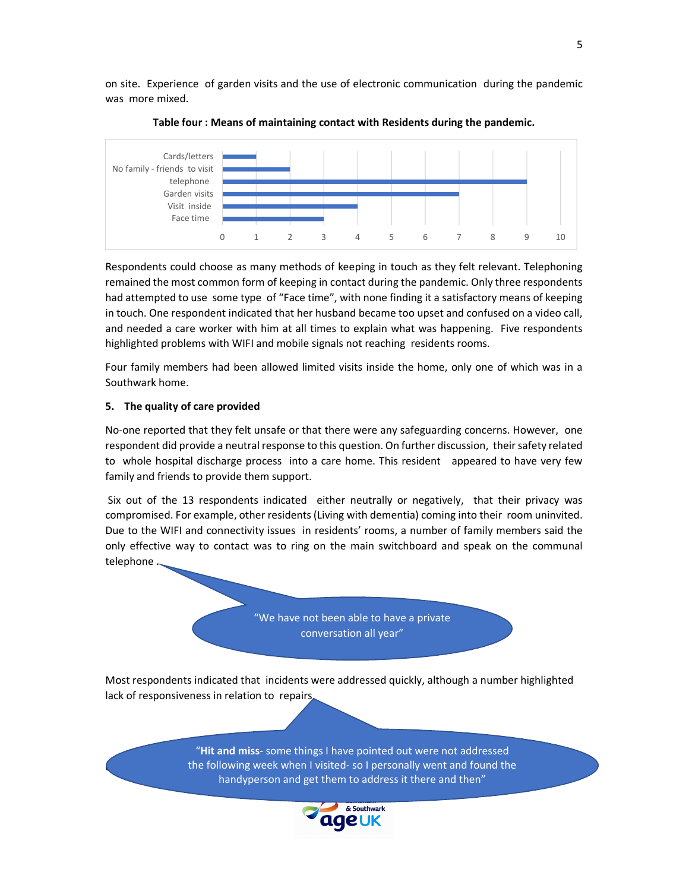on site. Experience of garden visits and the use of electronic communication during the pandemic was more mixed.



**Table four : Means of maintaining contact with Residents during the pandemic.** 

Respondents could choose as many methods of keeping in touch as they felt relevant. Telephoning remained the most common form of keeping in contact during the pandemic. Only three respondents had attempted to use some type of "Face time", with none finding it a satisfactory means of keeping in touch. One respondent indicated that her husband became too upset and confused on a video call, and needed a care worker with him at all times to explain what was happening. Five respondents highlighted problems with WIFI and mobile signals not reaching residents rooms.

Four family members had been allowed limited visits inside the home, only one of which was in a Southwark home.

#### **5. The quality of care provided**

No-one reported that they felt unsafe or that there were any safeguarding concerns. However, one respondent did provide a neutral response to this question. On further discussion, their safety related to whole hospital discharge process into a care home. This resident appeared to have very few family and friends to provide them support.

 Six out of the 13 respondents indicated either neutrally or negatively, that their privacy was compromised. For example, other residents (Living with dementia) coming into their room uninvited. Due to the WIFI and connectivity issues in residents' rooms, a number of family members said the only effective way to contact was to ring on the main switchboard and speak on the communal telephone .

> "We have not been able to have a private conversation all year"

Most respondents indicated that incidents were addressed quickly, although a number highlighted lack of responsiveness in relation to repairs.

**EXECTS AND THE STAFF AND THE TIME TO CARE I VISITED STAFF AND THE STAFF AND THE STAFF AND THE STAFF AND THE ST** "**Hit and miss**- some things I have pointed out were not addressed handyperson and get them to address it there and then"

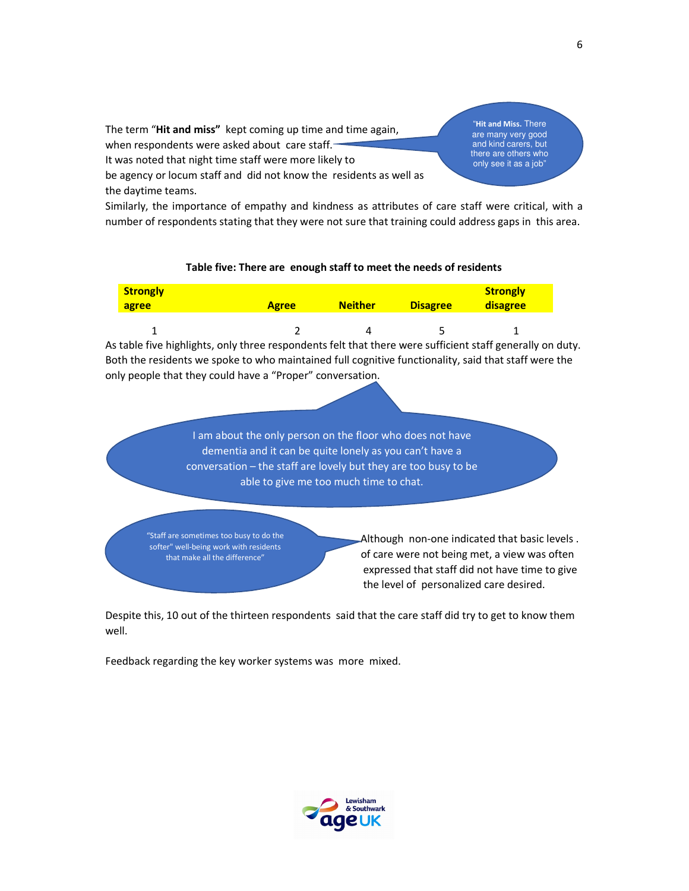The term "**Hit and miss"** kept coming up time and time again, when respondents were asked about care staff. It was noted that night time staff were more likely to

be agency or locum staff and did not know the residents as well as the daytime teams.

"**Hit and Miss.** There are many very good and kind carers, but there are others who only see it as a job"

Similarly, the importance of empathy and kindness as attributes of care staff were critical, with a number of respondents stating that they were not sure that training could address gaps in this area.

#### **Table five: There are enough staff to meet the needs of residents**

| Strongly<br>agree | <b>Agree</b> | <b>Neither</b> | <b>Disagree</b> | <b>Strongly</b><br><b>disagree</b> |
|-------------------|--------------|----------------|-----------------|------------------------------------|
|                   |              |                |                 |                                    |

As table five highlights, only three respondents felt that there were sufficient staff generally on duty. Both the residents we spoke to who maintained full cognitive functionality, said that staff were the only people that they could have a "Proper" conversation.

> I am about the only person on the floor who does not have dementia and it can be quite lonely as you can't have a conversation – the staff are lovely but they are too busy to be able to give me too much time to chat.

"Staff are sometimes too busy to do the softer" well-being work with residents that make all the difference"

 $\overline{1}$ ľ

> Although non-one indicated that basic levels . of care were not being met, a view was often expressed that staff did not have time to give the level of personalized care desired.

Despite this, 10 out of the thirteen respondents said that the care staff did try to get to know them well.

Feedback regarding the key worker systems was more mixed.

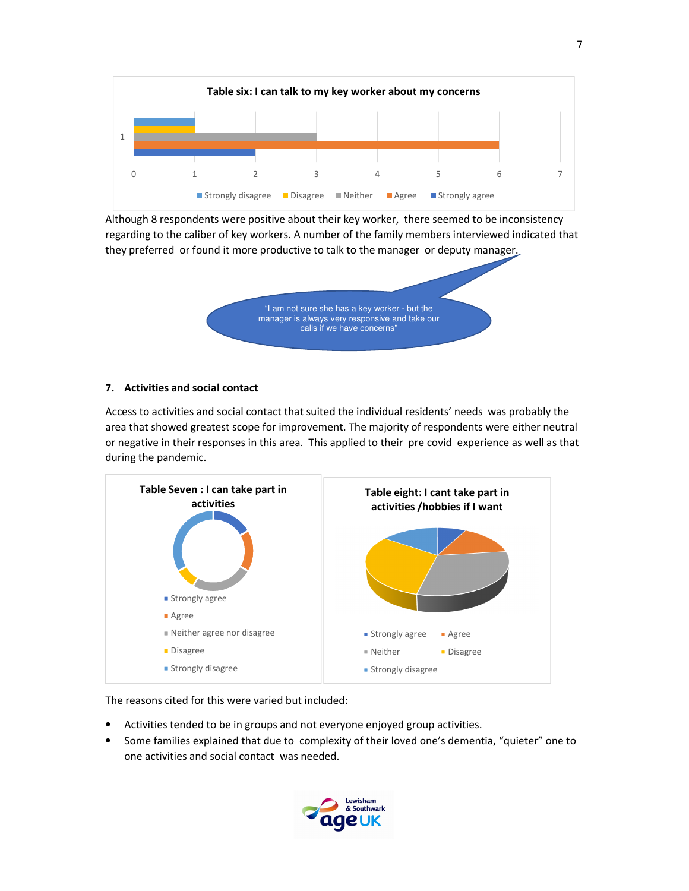

Although 8 respondents were positive about their key worker, there seemed to be inconsistency regarding to the caliber of key workers. A number of the family members interviewed indicated that they preferred or found it more productive to talk to the manager or deputy manager.



#### **7. Activities and social contact**

Access to activities and social contact that suited the individual residents' needs was probably the area that showed greatest scope for improvement. The majority of respondents were either neutral or negative in their responses in this area. This applied to their pre covid experience as well as that during the pandemic.



The reasons cited for this were varied but included:

- Activities tended to be in groups and not everyone enjoyed group activities.
- Some families explained that due to complexity of their loved one's dementia, "quieter" one to one activities and social contact was needed.

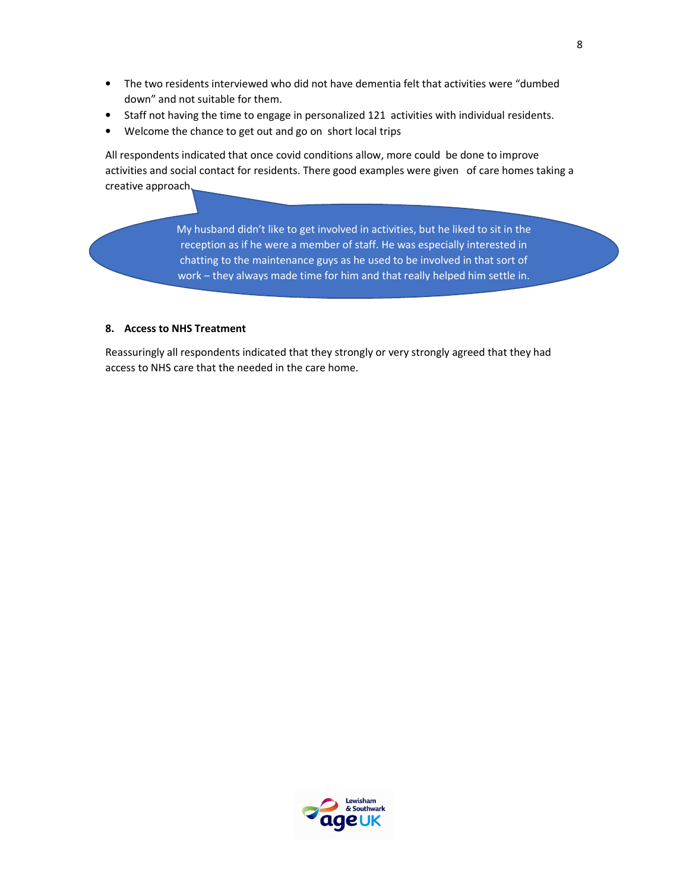- The two residents interviewed who did not have dementia felt that activities were "dumbed down" and not suitable for them.
- Staff not having the time to engage in personalized 121 activities with individual residents.
- Welcome the chance to get out and go on short local trips

All respondents indicated that once covid conditions allow, more could be done to improve activities and social contact for residents. There good examples were given of care homes taking a creative approach.

> My husband didn't like to get involved in activities, but he liked to sit in the reception as if he were a member of staff. He was especially interested in chatting to the maintenance guys as he used to be involved in that sort of work – they always made time for him and that really helped him settle in.

#### **8. Access to NHS Treatment**

Reassuringly all respondents indicated that they strongly or very strongly agreed that they had access to NHS care that the needed in the care home.

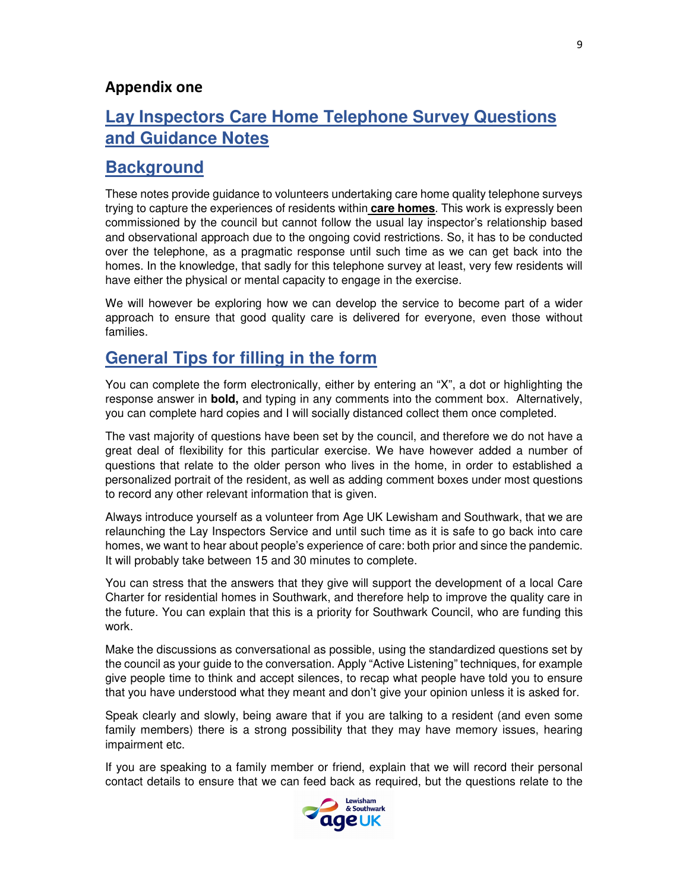## **Appendix one**

## **Lay Inspectors Care Home Telephone Survey Questions and Guidance Notes**

## **Background**

These notes provide guidance to volunteers undertaking care home quality telephone surveys trying to capture the experiences of residents within **care homes**. This work is expressly been commissioned by the council but cannot follow the usual lay inspector's relationship based and observational approach due to the ongoing covid restrictions. So, it has to be conducted over the telephone, as a pragmatic response until such time as we can get back into the homes. In the knowledge, that sadly for this telephone survey at least, very few residents will have either the physical or mental capacity to engage in the exercise.

We will however be exploring how we can develop the service to become part of a wider approach to ensure that good quality care is delivered for everyone, even those without families.

## **General Tips for filling in the form**

You can complete the form electronically, either by entering an "X", a dot or highlighting the response answer in **bold,** and typing in any comments into the comment box. Alternatively, you can complete hard copies and I will socially distanced collect them once completed.

The vast majority of questions have been set by the council, and therefore we do not have a great deal of flexibility for this particular exercise. We have however added a number of questions that relate to the older person who lives in the home, in order to established a personalized portrait of the resident, as well as adding comment boxes under most questions to record any other relevant information that is given.

Always introduce yourself as a volunteer from Age UK Lewisham and Southwark, that we are relaunching the Lay Inspectors Service and until such time as it is safe to go back into care homes, we want to hear about people's experience of care: both prior and since the pandemic. It will probably take between 15 and 30 minutes to complete.

You can stress that the answers that they give will support the development of a local Care Charter for residential homes in Southwark, and therefore help to improve the quality care in the future. You can explain that this is a priority for Southwark Council, who are funding this work.

Make the discussions as conversational as possible, using the standardized questions set by the council as your guide to the conversation. Apply "Active Listening" techniques, for example give people time to think and accept silences, to recap what people have told you to ensure that you have understood what they meant and don't give your opinion unless it is asked for.

Speak clearly and slowly, being aware that if you are talking to a resident (and even some family members) there is a strong possibility that they may have memory issues, hearing impairment etc.

If you are speaking to a family member or friend, explain that we will record their personal contact details to ensure that we can feed back as required, but the questions relate to the

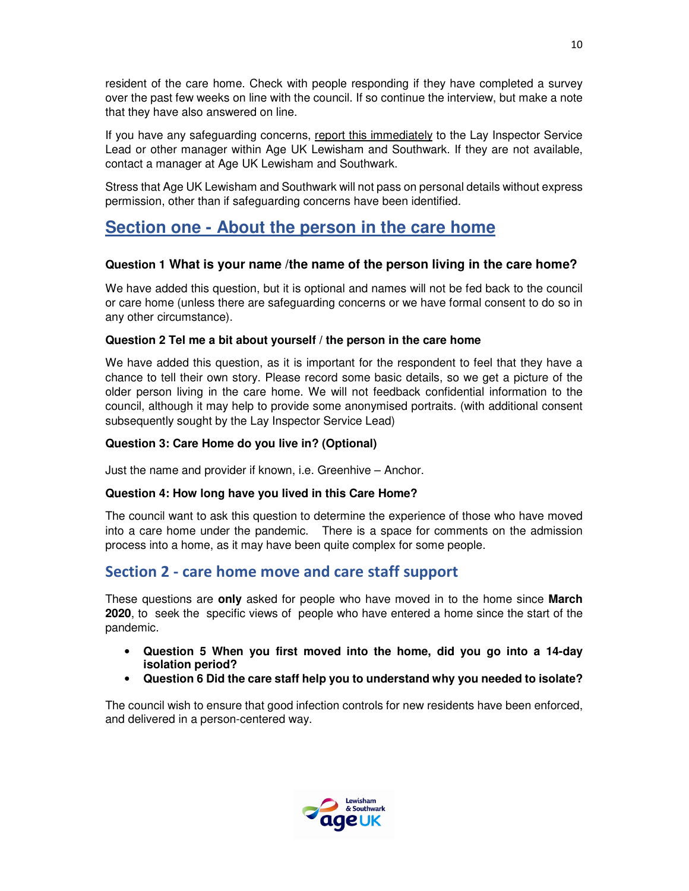resident of the care home. Check with people responding if they have completed a survey over the past few weeks on line with the council. If so continue the interview, but make a note that they have also answered on line.

If you have any safeguarding concerns, report this immediately to the Lay Inspector Service Lead or other manager within Age UK Lewisham and Southwark. If they are not available, contact a manager at Age UK Lewisham and Southwark.

Stress that Age UK Lewisham and Southwark will not pass on personal details without express permission, other than if safeguarding concerns have been identified.

## **Section one - About the person in the care home**

## **Question 1 What is your name /the name of the person living in the care home?**

We have added this question, but it is optional and names will not be fed back to the council or care home (unless there are safeguarding concerns or we have formal consent to do so in any other circumstance).

## **Question 2 Tel me a bit about yourself / the person in the care home**

We have added this question, as it is important for the respondent to feel that they have a chance to tell their own story. Please record some basic details, so we get a picture of the older person living in the care home. We will not feedback confidential information to the council, although it may help to provide some anonymised portraits. (with additional consent subsequently sought by the Lay Inspector Service Lead)

### **Question 3: Care Home do you live in? (Optional)**

Just the name and provider if known, i.e. Greenhive – Anchor.

### **Question 4: How long have you lived in this Care Home?**

The council want to ask this question to determine the experience of those who have moved into a care home under the pandemic. There is a space for comments on the admission process into a home, as it may have been quite complex for some people.

## **Section 2 - care home move and care staff support**

These questions are **only** asked for people who have moved in to the home since **March 2020**, to seek the specific views of people who have entered a home since the start of the pandemic.

- **Question 5 When you first moved into the home, did you go into a 14-day isolation period?**
- **Question 6 Did the care staff help you to understand why you needed to isolate?**

The council wish to ensure that good infection controls for new residents have been enforced, and delivered in a person-centered way.

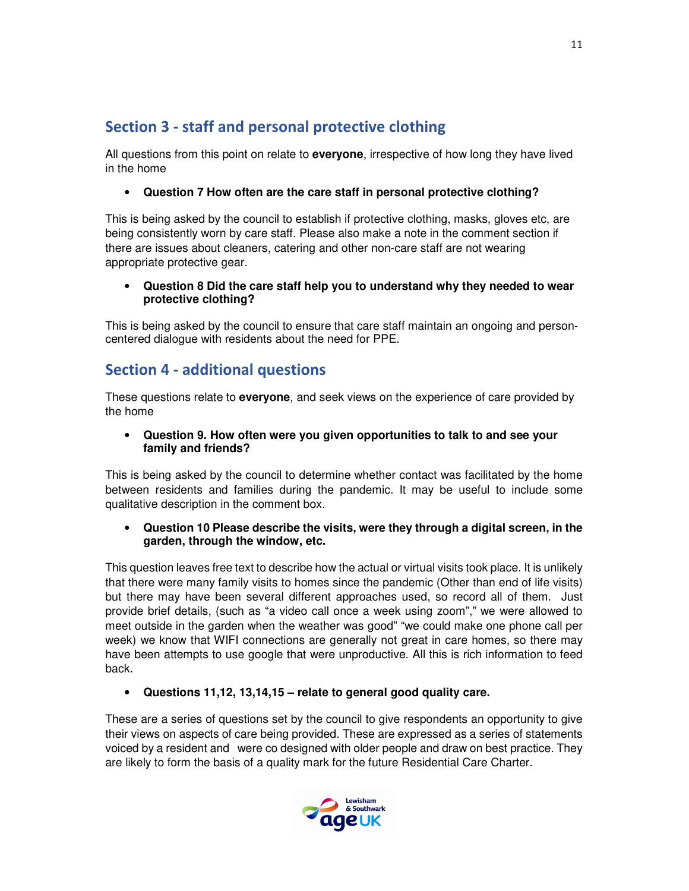## **Section 3 - staff and personal protective clothing**

All questions from this point on relate to **everyone**, irrespective of how long they have lived in the home

## • **Question 7 How often are the care staff in personal protective clothing?**

This is being asked by the council to establish if protective clothing, masks, gloves etc, are being consistently worn by care staff. Please also make a note in the comment section if there are issues about cleaners, catering and other non-care staff are not wearing appropriate protective gear.

### • **Question 8 Did the care staff help you to understand why they needed to wear protective clothing?**

This is being asked by the council to ensure that care staff maintain an ongoing and personcentered dialogue with residents about the need for PPE.

## **Section 4 - additional questions**

These questions relate to **everyone**, and seek views on the experience of care provided by the home

### • **Question 9. How often were you given opportunities to talk to and see your family and friends?**

This is being asked by the council to determine whether contact was facilitated by the home between residents and families during the pandemic. It may be useful to include some qualitative description in the comment box.

### • **Question 10 Please describe the visits, were they through a digital screen, in the garden, through the window, etc.**

This question leaves free text to describe how the actual or virtual visits took place. It is unlikely that there were many family visits to homes since the pandemic (Other than end of life visits) but there may have been several different approaches used, so record all of them. Just provide brief details, (such as "a video call once a week using zoom"," we were allowed to meet outside in the garden when the weather was good" "we could make one phone call per week) we know that WIFI connections are generally not great in care homes, so there may have been attempts to use google that were unproductive. All this is rich information to feed back.

• **Questions 11,12, 13,14,15 – relate to general good quality care.** 

These are a series of questions set by the council to give respondents an opportunity to give their views on aspects of care being provided. These are expressed as a series of statements voiced by a resident and were co designed with older people and draw on best practice. They are likely to form the basis of a quality mark for the future Residential Care Charter.

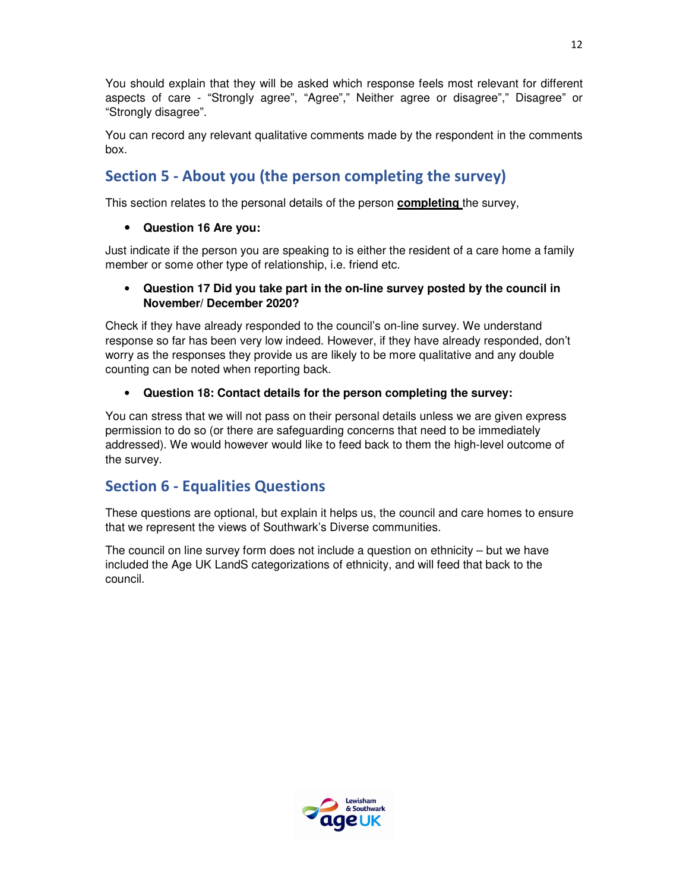You should explain that they will be asked which response feels most relevant for different aspects of care - "Strongly agree", "Agree"," Neither agree or disagree"," Disagree" or "Strongly disagree".

You can record any relevant qualitative comments made by the respondent in the comments box.

## **Section 5 - About you (the person completing the survey)**

This section relates to the personal details of the person **completing** the survey,

## • **Question 16 Are you:**

Just indicate if the person you are speaking to is either the resident of a care home a family member or some other type of relationship, i.e. friend etc.

### • **Question 17 Did you take part in the on-line survey posted by the council in November/ December 2020?**

Check if they have already responded to the council's on-line survey. We understand response so far has been very low indeed. However, if they have already responded, don't worry as the responses they provide us are likely to be more qualitative and any double counting can be noted when reporting back.

## • **Question 18: Contact details for the person completing the survey:**

You can stress that we will not pass on their personal details unless we are given express permission to do so (or there are safeguarding concerns that need to be immediately addressed). We would however would like to feed back to them the high-level outcome of the survey.

## **Section 6 - Equalities Questions**

These questions are optional, but explain it helps us, the council and care homes to ensure that we represent the views of Southwark's Diverse communities.

The council on line survey form does not include a question on ethnicity – but we have included the Age UK LandS categorizations of ethnicity, and will feed that back to the council.

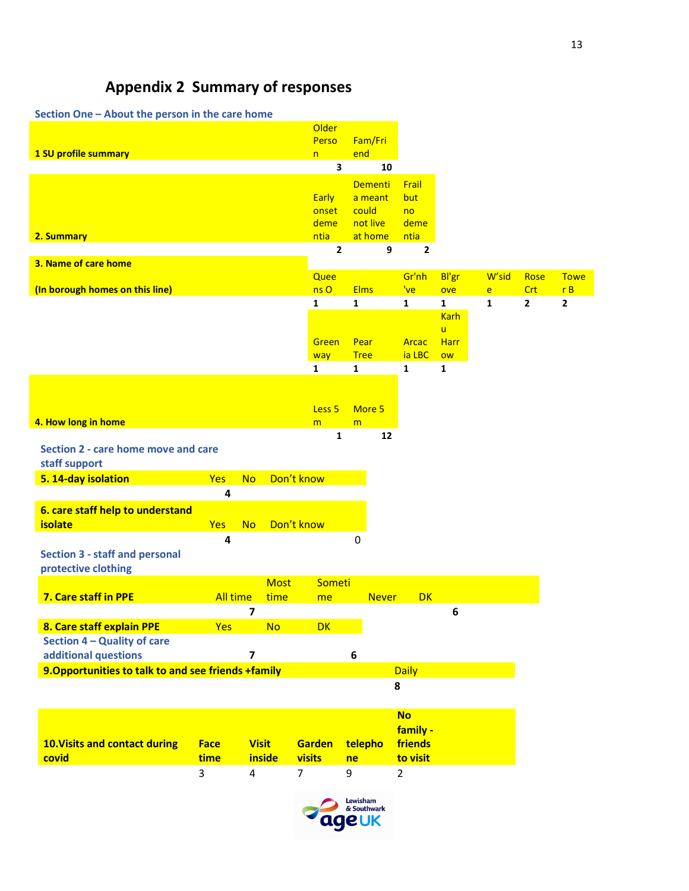# **Appendix 2 Summary of responses**

| Section One - About the person in the care home     |                 |           |             |                     |              |                |                |                   |       |                |                |
|-----------------------------------------------------|-----------------|-----------|-------------|---------------------|--------------|----------------|----------------|-------------------|-------|----------------|----------------|
|                                                     |                 |           |             | Older               |              |                |                |                   |       |                |                |
|                                                     |                 |           |             | Perso               | Fam/Fri      |                |                |                   |       |                |                |
| 1 SU profile summary                                |                 |           |             | n                   | end          |                |                |                   |       |                |                |
|                                                     |                 |           |             | 3                   |              | 10             |                |                   |       |                |                |
|                                                     |                 |           |             |                     |              | <b>Dementi</b> | Frail          |                   |       |                |                |
|                                                     |                 |           |             | <b>Early</b>        |              | a meant        | but            |                   |       |                |                |
|                                                     |                 |           |             | onset               | could        |                | no             |                   |       |                |                |
|                                                     |                 |           |             | deme                | not live     |                | deme           |                   |       |                |                |
| 2. Summary                                          |                 |           |             | ntia                |              | at home        | ntia           |                   |       |                |                |
|                                                     |                 |           |             | $\overline{2}$      |              | 9              | $\overline{2}$ |                   |       |                |                |
| 3. Name of care home                                |                 |           |             |                     |              |                |                |                   |       |                |                |
|                                                     |                 |           |             | Quee                |              |                | Gr'nh          | Bl'gr             | W'sid | Rose           | <b>Towe</b>    |
| (In borough homes on this line)                     |                 |           |             | ns O                | <b>Elms</b>  |                | 've            | ove               | e     | Crt            | rB             |
|                                                     |                 |           |             | 1                   | 1            |                | $\mathbf{1}$   | $\mathbf{1}$      | 1     | $\overline{2}$ | $\overline{2}$ |
|                                                     |                 |           |             |                     |              |                |                | <b>Karh</b>       |       |                |                |
|                                                     |                 |           |             | Green               | Pear         |                | <b>Arcac</b>   | ū.<br><b>Harr</b> |       |                |                |
|                                                     |                 |           |             |                     | <b>Tree</b>  |                | ia LBC         | ow                |       |                |                |
|                                                     |                 |           |             | way<br>$\mathbf{1}$ | $\mathbf{1}$ |                | $\mathbf{1}$   | $\mathbf{1}$      |       |                |                |
|                                                     |                 |           |             |                     |              |                |                |                   |       |                |                |
|                                                     |                 |           |             |                     |              |                |                |                   |       |                |                |
|                                                     |                 |           |             | Less <sub>5</sub>   | More 5       |                |                |                   |       |                |                |
| 4. How long in home                                 |                 |           |             | m                   | m            |                |                |                   |       |                |                |
|                                                     |                 |           |             | 1                   |              | 12             |                |                   |       |                |                |
| Section 2 - care home move and care                 |                 |           |             |                     |              |                |                |                   |       |                |                |
| staff support                                       |                 |           |             |                     |              |                |                |                   |       |                |                |
| 5. 14-day isolation                                 | Yes             | <b>No</b> | Don't know  |                     |              |                |                |                   |       |                |                |
|                                                     | 4               |           |             |                     |              |                |                |                   |       |                |                |
|                                                     |                 |           |             |                     |              |                |                |                   |       |                |                |
| 6. care staff help to understand                    |                 |           |             |                     |              |                |                |                   |       |                |                |
| isolate                                             | Yes             | <b>No</b> | Don't know  |                     |              |                |                |                   |       |                |                |
|                                                     | 4               |           |             |                     | 0            |                |                |                   |       |                |                |
| <b>Section 3 - staff and personal</b>               |                 |           |             |                     |              |                |                |                   |       |                |                |
| protective clothing                                 |                 |           |             |                     |              |                |                |                   |       |                |                |
|                                                     |                 |           | <b>Most</b> | Someti              |              |                |                |                   |       |                |                |
| 7. Care staff in PPE                                | <b>All time</b> |           | time        | me                  |              | <b>Never</b>   | <b>DK</b>      |                   |       |                |                |
|                                                     |                 | 7         |             |                     |              |                |                | 6                 |       |                |                |
| 8. Care staff explain PPE                           | <b>Yes</b>      |           | <b>No</b>   | <b>DK</b>           |              |                |                |                   |       |                |                |
| Section 4 - Quality of care                         |                 |           |             |                     |              |                |                |                   |       |                |                |
| additional questions                                |                 | 7         |             |                     | 6            |                |                |                   |       |                |                |
| 9. Opportunities to talk to and see friends +family |                 |           |             |                     |              |                | <b>Daily</b>   |                   |       |                |                |
|                                                     |                 |           |             |                     |              | 8              |                |                   |       |                |                |
|                                                     |                 |           |             |                     |              |                |                |                   |       |                |                |
|                                                     |                 |           |             |                     |              |                |                |                   |       |                |                |

| <b>10. Visits and contact during</b><br>covid | <b>Face</b><br><b>time</b> | <b>inside</b> | <b>Visit Garden telepho</b><br><u>sa visits su</u> | ne | <b>No</b><br>family -<br><u>friends</u><br>to visit |
|-----------------------------------------------|----------------------------|---------------|----------------------------------------------------|----|-----------------------------------------------------|
|                                               | 3                          | 4             |                                                    |    |                                                     |

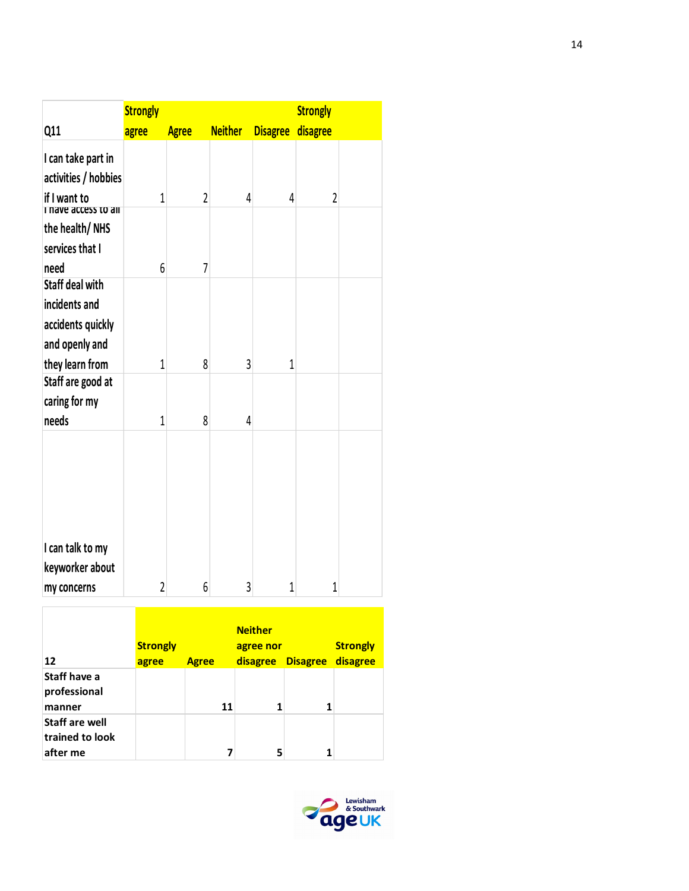|                        | <b>Strongly</b> |                |                |                 | <b>Strongly</b> |  |
|------------------------|-----------------|----------------|----------------|-----------------|-----------------|--|
| Q11                    | agree           | <b>Agree</b>   | <b>Neither</b> | <b>Disagree</b> | disagree        |  |
| I can take part in     |                 |                |                |                 |                 |  |
| activities / hobbies   |                 |                |                |                 |                 |  |
| if I want to           | 1               | $\overline{2}$ | 4              | 4               | $\overline{2}$  |  |
| ve access to an        |                 |                |                |                 |                 |  |
| the health/NHS         |                 |                |                |                 |                 |  |
| services that I        |                 |                |                |                 |                 |  |
| need                   | 6               | 7              |                |                 |                 |  |
| <b>Staff deal with</b> |                 |                |                |                 |                 |  |
| incidents and          |                 |                |                |                 |                 |  |
| accidents quickly      |                 |                |                |                 |                 |  |
| and openly and         |                 |                |                |                 |                 |  |
| they learn from        | 1               | 8              | 3              | 1               |                 |  |
| Staff are good at      |                 |                |                |                 |                 |  |
| caring for my          |                 |                |                |                 |                 |  |
| needs                  | 1               | 8              | 4              |                 |                 |  |
|                        |                 |                |                |                 |                 |  |
| I can talk to my       |                 |                |                |                 |                 |  |
| keyworker about        |                 |                |                |                 |                 |  |
| my concerns            | $\overline{2}$  | 6              | 3              | 1               | $\mathbf{1}$    |  |

| 12                                                   | <b>Strongly</b><br>agree | <b>Agree</b> |    | <b>Neither</b><br>agree nor<br>disagree | <b>Disagree</b> | <b>Strongly</b><br>disagree |
|------------------------------------------------------|--------------------------|--------------|----|-----------------------------------------|-----------------|-----------------------------|
| Staff have a<br>professional<br>manner               |                          |              | 11 | 1                                       |                 |                             |
| <b>Staff are well</b><br>trained to look<br>after me |                          |              |    | 5                                       |                 |                             |

 $\overline{1}$ 

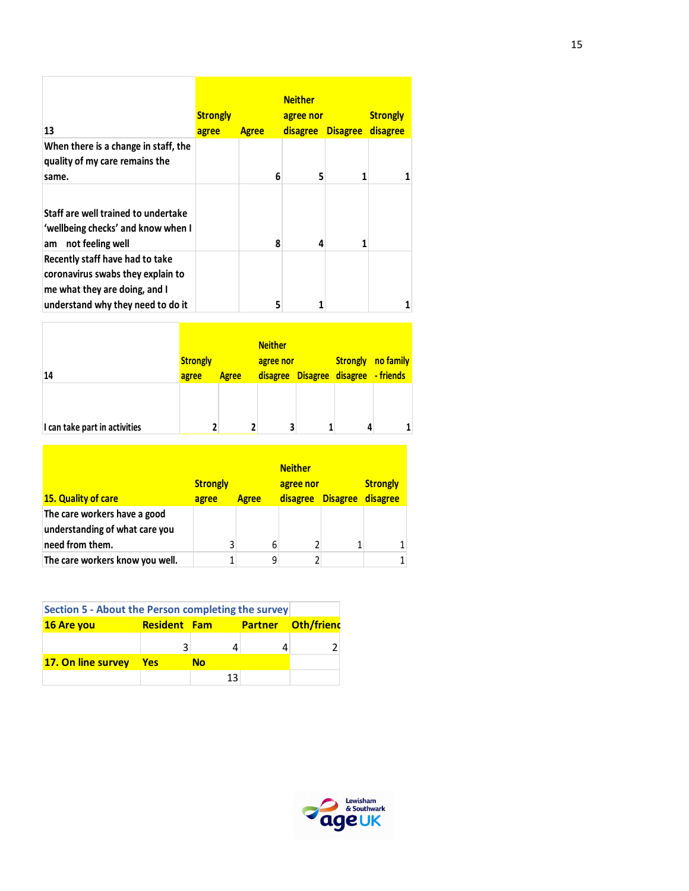| 13                                                                                                                                         | <b>Strongly</b><br>agree | <b>Agree</b> | <b>Neither</b><br>agree nor<br><b>disagree</b> | <b>Disagree</b> | <b>Strongly</b><br>disagree |
|--------------------------------------------------------------------------------------------------------------------------------------------|--------------------------|--------------|------------------------------------------------|-----------------|-----------------------------|
| When there is a change in staff, the<br>quality of my care remains the<br>same.                                                            |                          | 6            | 5                                              |                 |                             |
| Staff are well trained to undertake<br>'wellbeing checks' and know when I<br>not feeling well<br>am                                        |                          | 8            | 4                                              |                 |                             |
| Recently staff have had to take<br>coronavirus swabs they explain to<br>me what they are doing, and I<br>understand why they need to do it |                          | 5            |                                                |                 |                             |

Г

| 14                            | <b>Strongly</b><br>agree | <b>Agree</b> | <b>Neither</b><br>agree nor | <b>Strongly</b> no family<br>disagree Disagree disagree - friends |  |
|-------------------------------|--------------------------|--------------|-----------------------------|-------------------------------------------------------------------|--|
|                               |                          |              |                             |                                                                   |  |
|                               |                          |              |                             |                                                                   |  |
| I can take part in activities |                          | 7            | 3                           |                                                                   |  |

|                                                                | <b>Strongly</b> |              | <b>Neither</b><br>agree nor |                 | <b>Strongly</b> |
|----------------------------------------------------------------|-----------------|--------------|-----------------------------|-----------------|-----------------|
| <b>15. Quality of care</b>                                     | agree           | <b>Agree</b> | disagree                    | <b>Disagree</b> | disagree        |
| The care workers have a good<br>understanding of what care you |                 |              |                             |                 |                 |
| need from them.                                                | 3               | 6            | 2                           |                 |                 |
| The care workers know you well.                                |                 |              | 2                           |                 |                 |

| Section 5 - About the Person completing the survey |                     |    |  |                           |  |  |  |  |  |  |  |
|----------------------------------------------------|---------------------|----|--|---------------------------|--|--|--|--|--|--|--|
| 16 Are you                                         | <b>Resident Fam</b> |    |  | <b>Partner Oth/friend</b> |  |  |  |  |  |  |  |
|                                                    |                     |    |  |                           |  |  |  |  |  |  |  |
| 17. On line survey                                 | <b>P</b> Yes        | No |  |                           |  |  |  |  |  |  |  |
|                                                    |                     | 13 |  |                           |  |  |  |  |  |  |  |